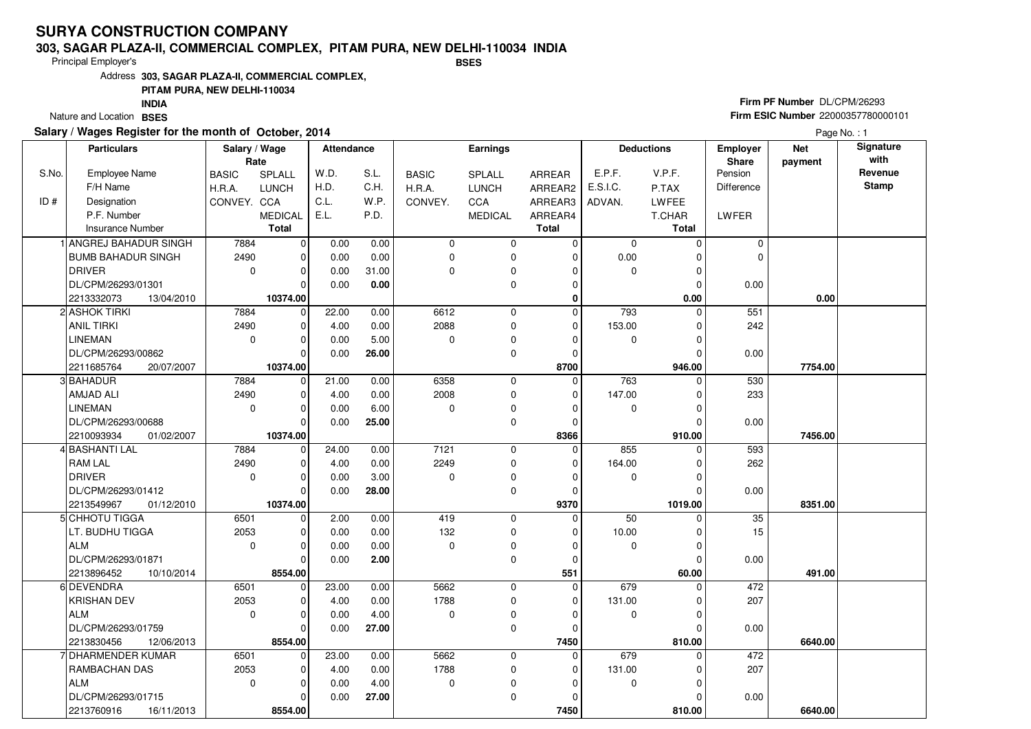#### **303, SAGAR PLAZA-II, COMMERCIAL COMPLEX, PITAM PURA, NEW DELHI-110034 INDIABSES**

Principal Employer's

Address**303, SAGAR PLAZA-II, COMMERCIAL COMPLEX,**

## **PITAM PURA, NEW DELHI-110034**

Nature and Location BSES **INDIA**

## **Salary / Wages Register for the month of October, 2014**

# **Firm PF Number** DL/CPM/26293 **Firm ESIC Number** 22000357780000101

|       | <b>Particulars</b>          | Salary / Wage<br>Rate |                | <b>Attendance</b> |       |              | <b>Earnings</b> |              |             | <b>Deductions</b> | Employer<br>Share | <b>Net</b><br>payment | Signature<br>with |
|-------|-----------------------------|-----------------------|----------------|-------------------|-------|--------------|-----------------|--------------|-------------|-------------------|-------------------|-----------------------|-------------------|
| S.No. | Employee Name               | <b>BASIC</b>          | SPLALL         | W.D.              | S.L.  | <b>BASIC</b> | SPLALL          | ARREAR       | E.P.F.      | V.P.F.            | Pension           |                       | Revenue           |
|       | F/H Name                    | <b>H.R.A.</b>         | <b>LUNCH</b>   | H.D.              | C.H.  | H.R.A.       | <b>LUNCH</b>    | ARREAR2      | E.S.I.C.    | P.TAX             | <b>Difference</b> |                       | <b>Stamp</b>      |
| ID#   | Designation                 | CONVEY. CCA           |                | C.L.              | W.P.  | CONVEY.      | CCA             | ARREAR3      | ADVAN.      | <b>LWFEE</b>      |                   |                       |                   |
|       | P.F. Number                 |                       | <b>MEDICAL</b> | E.L.              | P.D.  |              | <b>MEDICAL</b>  | ARREAR4      |             | T.CHAR            | LWFER             |                       |                   |
|       | <b>Insurance Number</b>     |                       | <b>Total</b>   |                   |       |              |                 | <b>Total</b> |             | Total             |                   |                       |                   |
|       | <b>ANGREJ BAHADUR SINGH</b> | 7884                  | $\mathbf 0$    | 0.00              | 0.00  | $\mathbf 0$  | $\mathbf 0$     | 0            | $\mathbf 0$ | $\Omega$          | $\mathbf 0$       |                       |                   |
|       | <b>BUMB BAHADUR SINGH</b>   | 2490                  | $\mathbf 0$    | 0.00              | 0.00  | $\mathbf 0$  | 0               | $\mathbf 0$  | 0.00        | $\Omega$          | $\Omega$          |                       |                   |
|       | <b>DRIVER</b>               | $\mathbf 0$           | $\mathbf 0$    | 0.00              | 31.00 | $\Omega$     | 0               | $\Omega$     | 0           | $\Omega$          |                   |                       |                   |
|       | DL/CPM/26293/01301          |                       | $\Omega$       | 0.00              | 0.00  |              | 0               | $\mathbf 0$  |             | $\Omega$          | 0.00              |                       |                   |
|       | 2213332073<br>13/04/2010    |                       | 10374.00       |                   |       |              |                 | $\mathbf 0$  |             | 0.00              |                   | 0.00                  |                   |
|       | 2 ASHOK TIRKI               | 7884                  | $\mathbf 0$    | 22.00             | 0.00  | 6612         | $\mathbf 0$     | $\Omega$     | 793         | $\Omega$          | 551               |                       |                   |
|       | <b>ANIL TIRKI</b>           | 2490                  | $\mathbf 0$    | 4.00              | 0.00  | 2088         | 0               | $\mathbf 0$  | 153.00      | $\Omega$          | 242               |                       |                   |
|       | <b>LINEMAN</b>              | $\mathbf 0$           | $\Omega$       | 0.00              | 5.00  | $\mathbf 0$  | 0               | $\Omega$     | $\mathbf 0$ | $\Omega$          |                   |                       |                   |
|       | DL/CPM/26293/00862          |                       | $\Omega$       | 0.00              | 26.00 |              | 0               | $\mathbf 0$  |             | $\Omega$          | 0.00              |                       |                   |
|       | 2211685764<br>20/07/2007    |                       | 10374.00       |                   |       |              |                 | 8700         |             | 946.00            |                   | 7754.00               |                   |
|       | 3 BAHADUR                   | 7884                  | $\mathbf 0$    | 21.00             | 0.00  | 6358         | $\mathbf 0$     | $\mathbf 0$  | 763         | $\Omega$          | 530               |                       |                   |
|       | AMJAD ALI                   | 2490                  | $\mathbf 0$    | 4.00              | 0.00  | 2008         | 0               | $\mathbf 0$  | 147.00      | $\Omega$          | 233               |                       |                   |
|       | <b>LINEMAN</b>              | $\mathbf 0$           | $\Omega$       | 0.00              | 6.00  | $\mathbf 0$  | 0               | $\Omega$     | 0           | $\Omega$          |                   |                       |                   |
|       | DL/CPM/26293/00688          |                       | $\Omega$       | 0.00              | 25.00 |              | $\mathbf 0$     | $\mathbf 0$  |             | $\sqrt{2}$        | 0.00              |                       |                   |
|       | 2210093934<br>01/02/2007    |                       | 10374.00       |                   |       |              |                 | 8366         |             | 910.00            |                   | 7456.00               |                   |
|       | 4 BASHANTI LAL              | 7884                  | 0              | 24.00             | 0.00  | 7121         | 0               | 0            | 855         | $\Omega$          | 593               |                       |                   |
|       | <b>RAM LAL</b>              | 2490                  | $\mathbf 0$    | 4.00              | 0.00  | 2249         | $\mathbf 0$     | $\mathbf 0$  | 164.00      | $\Omega$          | 262               |                       |                   |
|       | <b>DRIVER</b>               | $\Omega$              | $\Omega$       | 0.00              | 3.00  | $\Omega$     | 0               | $\Omega$     | 0           | $\Omega$          |                   |                       |                   |
|       | DL/CPM/26293/01412          |                       | $\Omega$       | 0.00              | 28.00 |              | 0               | $\Omega$     |             | $\sqrt{2}$        | 0.00              |                       |                   |
|       | 2213549967<br>01/12/2010    |                       | 10374.00       |                   |       |              |                 | 9370         |             | 1019.00           |                   | 8351.00               |                   |
|       | 5 CHHOTU TIGGA              | 6501                  | $\mathbf 0$    | 2.00              | 0.00  | 419          | 0               | 0            | 50          | $\Omega$          | 35                |                       |                   |
|       | LT. BUDHU TIGGA             | 2053                  | $\mathbf 0$    | 0.00              | 0.00  | 132          | 0               | $\Omega$     | 10.00       | $\Omega$          | 15                |                       |                   |
|       | <b>ALM</b>                  | $\mathbf 0$           | $\mathbf 0$    | 0.00              | 0.00  | $\mathbf 0$  | 0               | $\mathbf 0$  | $\mathbf 0$ | $\Omega$          |                   |                       |                   |
|       | DL/CPM/26293/01871          |                       | $\Omega$       | 0.00              | 2.00  |              | 0               | $\Omega$     |             | $\sqrt{ }$        | 0.00              |                       |                   |
|       | 2213896452<br>10/10/2014    |                       | 8554.00        |                   |       |              |                 | 551          |             | 60.00             |                   | 491.00                |                   |
|       | 6 DEVENDRA                  | 6501                  | $\mathbf 0$    | 23.00             | 0.00  | 5662         | $\mathbf 0$     | $\mathbf 0$  | 679         | $\Omega$          | 472               |                       |                   |
|       | <b>KRISHAN DEV</b>          | 2053                  | $\Omega$       | 4.00              | 0.00  | 1788         | 0               | $\Omega$     | 131.00      | $\Omega$          | 207               |                       |                   |
|       | <b>ALM</b>                  | $\mathbf{0}$          | $\Omega$       | 0.00              | 4.00  | $\mathbf 0$  | 0               | $\mathbf 0$  | 0           | 0                 |                   |                       |                   |
|       | DL/CPM/26293/01759          |                       | $\Omega$       | 0.00              | 27.00 |              | $\mathbf 0$     | $\mathbf 0$  |             | $\sqrt{ }$        | 0.00              |                       |                   |
|       | 2213830456<br>12/06/2013    |                       | 8554.00        |                   |       |              |                 | 7450         |             | 810.00            |                   | 6640.00               |                   |
|       | 7 DHARMENDER KUMAR          | 6501                  | $\mathbf 0$    | 23.00             | 0.00  | 5662         | $\mathbf 0$     | $\mathbf 0$  | 679         | $\Omega$          | 472               |                       |                   |
|       | RAMBACHAN DAS               | 2053                  | $\Omega$       | 4.00              | 0.00  | 1788         | 0               | $\mathbf 0$  | 131.00      | C                 | 207               |                       |                   |
|       | <b>ALM</b>                  | $\mathbf 0$           | $\mathbf 0$    | 0.00              | 4.00  | $\mathbf 0$  | 0               | $\Omega$     | 0           | $\Omega$          |                   |                       |                   |
|       | DL/CPM/26293/01715          |                       | $\Omega$       | 0.00              | 27.00 |              | $\mathbf 0$     | 0            |             |                   | 0.00              |                       |                   |
|       | 2213760916<br>16/11/2013    |                       | 8554.00        |                   |       |              |                 | 7450         |             | 810.00            |                   | 6640.00               |                   |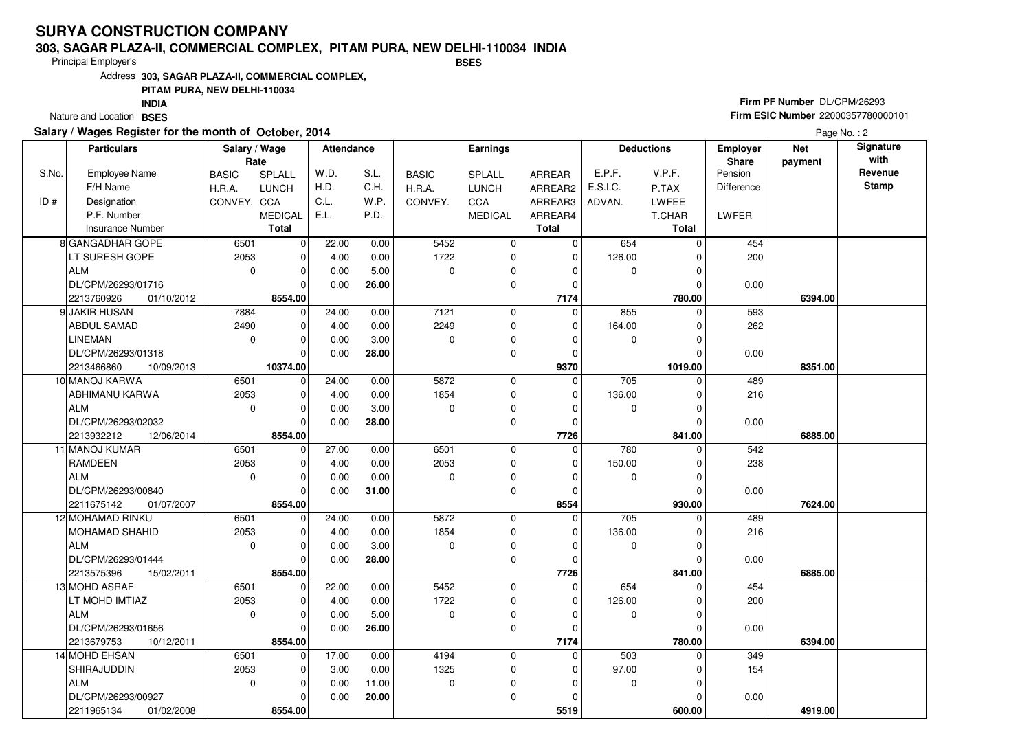#### **303, SAGAR PLAZA-II, COMMERCIAL COMPLEX, PITAM PURA, NEW DELHI-110034 INDIABSES**

Principal Employer's

Address**303, SAGAR PLAZA-II, COMMERCIAL COMPLEX,**

## **PITAM PURA, NEW DELHI-110034**

Nature and Location BSES **INDIA**

## **Salary / Wages Register for the month of October, 2014**

# **Firm PF Number** DL/CPM/26293 **Firm ESIC Number** 22000357780000101

|       | <b>Particulars</b>       | Salary / Wage | Rate           | <b>Attendance</b> |       |              | Earnings       |                |             | <b>Deductions</b> | <b>Employer</b><br><b>Share</b> | <b>Net</b><br>payment | Signature<br>with |
|-------|--------------------------|---------------|----------------|-------------------|-------|--------------|----------------|----------------|-------------|-------------------|---------------------------------|-----------------------|-------------------|
| S.No. | <b>Employee Name</b>     | <b>BASIC</b>  | <b>SPLALL</b>  | W.D.              | S.L.  | <b>BASIC</b> | <b>SPLALL</b>  | <b>ARREAR</b>  | E.P.F.      | V.P.F.            | Pension                         |                       | Revenue           |
|       | F/H Name                 | H.R.A.        | <b>LUNCH</b>   | H.D.              | C.H.  | H.R.A.       | <b>LUNCH</b>   | ARREAR2        | E.S.I.C.    | P.TAX             | <b>Difference</b>               |                       | <b>Stamp</b>      |
| ID#   | Designation              | CONVEY. CCA   |                | C.L.              | W.P.  | CONVEY.      | CCA            | ARREAR3        | ADVAN.      | LWFEE             |                                 |                       |                   |
|       | P.F. Number              |               | <b>MEDICAL</b> | E.L.              | P.D.  |              | <b>MEDICAL</b> | ARREAR4        |             | T.CHAR            | LWFER                           |                       |                   |
|       | <b>Insurance Number</b>  |               | <b>Total</b>   |                   |       |              |                | <b>Total</b>   |             | <b>Total</b>      |                                 |                       |                   |
|       | 8 GANGADHAR GOPE         | 6501          | $\mathbf 0$    | 22.00             | 0.00  | 5452         | 0              | 0              | 654         | $\Omega$          | 454                             |                       |                   |
|       | LT SURESH GOPE           | 2053          | 0              | 4.00              | 0.00  | 1722         | 0              | $\mathbf 0$    | 126.00      | $\Omega$          | 200                             |                       |                   |
|       | <b>ALM</b>               | $\mathbf 0$   | 0              | 0.00              | 5.00  | $\Omega$     | 0              | O              | $\mathbf 0$ | C                 |                                 |                       |                   |
|       | DL/CPM/26293/01716       |               | $\Omega$       | 0.00              | 26.00 |              | 0              | $\Omega$       |             |                   | 0.00                            |                       |                   |
|       | 2213760926<br>01/10/2012 |               | 8554.00        |                   |       |              |                | 7174           |             | 780.00            |                                 | 6394.00               |                   |
|       | 9 JAKIR HUSAN            | 7884          | $\Omega$       | 24.00             | 0.00  | 7121         | $\mathbf 0$    | $\overline{0}$ | 855         | ∩                 | 593                             |                       |                   |
|       | <b>ABDUL SAMAD</b>       | 2490          | 0              | 4.00              | 0.00  | 2249         | 0              | 0              | 164.00      | O                 | 262                             |                       |                   |
|       | <b>LINEMAN</b>           | 0             | 0              | 0.00              | 3.00  | 0            | 0              | $\Omega$       | $\mathbf 0$ | C                 |                                 |                       |                   |
|       | DL/CPM/26293/01318       |               | $\Omega$       | 0.00              | 28.00 |              | $\mathbf 0$    | $\Omega$       |             | ∩                 | 0.00                            |                       |                   |
|       | 2213466860<br>10/09/2013 |               | 10374.00       |                   |       |              |                | 9370           |             | 1019.00           |                                 | 8351.00               |                   |
|       | 10 MANOJ KARWA           | 6501          | $\mathbf 0$    | 24.00             | 0.00  | 5872         | 0              | $\mathbf 0$    | 705         | ∩                 | 489                             |                       |                   |
|       | ABHIMANU KARWA           | 2053          | 0              | 4.00              | 0.00  | 1854         | 0              | 0              | 136.00      | 0                 | 216                             |                       |                   |
|       | <b>ALM</b>               | 0             | $\Omega$       | 0.00              | 3.00  | $\Omega$     | 0              | $\Omega$       | $\mathbf 0$ | ∩                 |                                 |                       |                   |
|       | DL/CPM/26293/02032       |               | $\Omega$       | 0.00              | 28.00 |              | 0              | 0              |             | C                 | 0.00                            |                       |                   |
|       | 2213932212<br>12/06/2014 |               | 8554.00        |                   |       |              |                | 7726           |             | 841.00            |                                 | 6885.00               |                   |
|       | 11 MANOJ KUMAR           | 6501          | $\Omega$       | $\frac{1}{27.00}$ | 0.00  | 6501         | $\mathbf 0$    | $\Omega$       | 780         | $\Omega$          | 542                             |                       |                   |
|       | <b>RAMDEEN</b>           | 2053          | 0              | 4.00              | 0.00  | 2053         | $\mathbf 0$    | 0              | 150.00      |                   | 238                             |                       |                   |
|       | <b>ALM</b>               | 0             | 0              | 0.00              | 0.00  | 0            | 0              | $\Omega$       | 0           | C                 |                                 |                       |                   |
|       | DL/CPM/26293/00840       |               | $\Omega$       | 0.00              | 31.00 |              | $\mathbf 0$    | 0              |             | O                 | 0.00                            |                       |                   |
|       | 2211675142<br>01/07/2007 |               | 8554.00        |                   |       |              |                | 8554           |             | 930.00            |                                 | 7624.00               |                   |
|       | 12 MOHAMAD RINKU         | 6501          | $\mathbf 0$    | 24.00             | 0.00  | 5872         | 0              | $\mathbf 0$    | 705         | $\Omega$          | 489                             |                       |                   |
|       | <b>MOHAMAD SHAHID</b>    | 2053          | $\mathbf 0$    | 4.00              | 0.00  | 1854         | 0              | $\Omega$       | 136.00      | C                 | 216                             |                       |                   |
|       | <b>ALM</b>               | 0             | 0              | 0.00              | 3.00  | 0            | 0              | $\Omega$       | 0           | ∩                 |                                 |                       |                   |
|       | DL/CPM/26293/01444       |               | $\Omega$       | 0.00              | 28.00 |              | $\mathbf 0$    | $\Omega$       |             | $\Omega$          | 0.00                            |                       |                   |
|       | 2213575396<br>15/02/2011 |               | 8554.00        |                   |       |              |                | 7726           |             | 841.00            |                                 | 6885.00               |                   |
|       | <b>13 MOHD ASRAF</b>     | 6501          | $\mathbf 0$    | 22.00             | 0.00  | 5452         | $\mathbf 0$    | $\Omega$       | 654         | $\Omega$          | 454                             |                       |                   |
|       | LT MOHD IMTIAZ           | 2053          | 0              | 4.00              | 0.00  | 1722         | 0              | $\Omega$       | 126.00      | C                 | 200                             |                       |                   |
|       | <b>ALM</b>               | 0             | $\Omega$       | 0.00              | 5.00  | $\mathbf{0}$ | $\mathbf 0$    | $\Omega$       | $\mathbf 0$ | $\Omega$          |                                 |                       |                   |
|       | DL/CPM/26293/01656       |               | $\Omega$       | 0.00              | 26.00 |              | $\Omega$       | $\Omega$       |             | $\sqrt{ }$        | 0.00                            |                       |                   |
|       | 2213679753<br>10/12/2011 |               | 8554.00        |                   |       |              |                | 7174           |             | 780.00            |                                 | 6394.00               |                   |
|       | 14 MOHD EHSAN            | 6501          | $\mathbf 0$    | 17.00             | 0.00  | 4194         | 0              | 0              | 503         | $\sqrt{ }$        | 349                             |                       |                   |
|       | SHIRAJUDDIN              | 2053          | $\Omega$       | 3.00              | 0.00  | 1325         | 0              | $\Omega$       | 97.00       | C                 | 154                             |                       |                   |
|       | <b>ALM</b>               | 0             | 0              | 0.00              | 11.00 | 0            | 0              | $\Omega$       | 0           | C                 |                                 |                       |                   |
|       | DL/CPM/26293/00927       |               | 0              | 0.00              | 20.00 |              | $\mathbf 0$    | $\Omega$       |             |                   | 0.00                            |                       |                   |
|       | 2211965134<br>01/02/2008 |               | 8554.00        |                   |       |              |                | 5519           |             | 600.00            |                                 | 4919.00               |                   |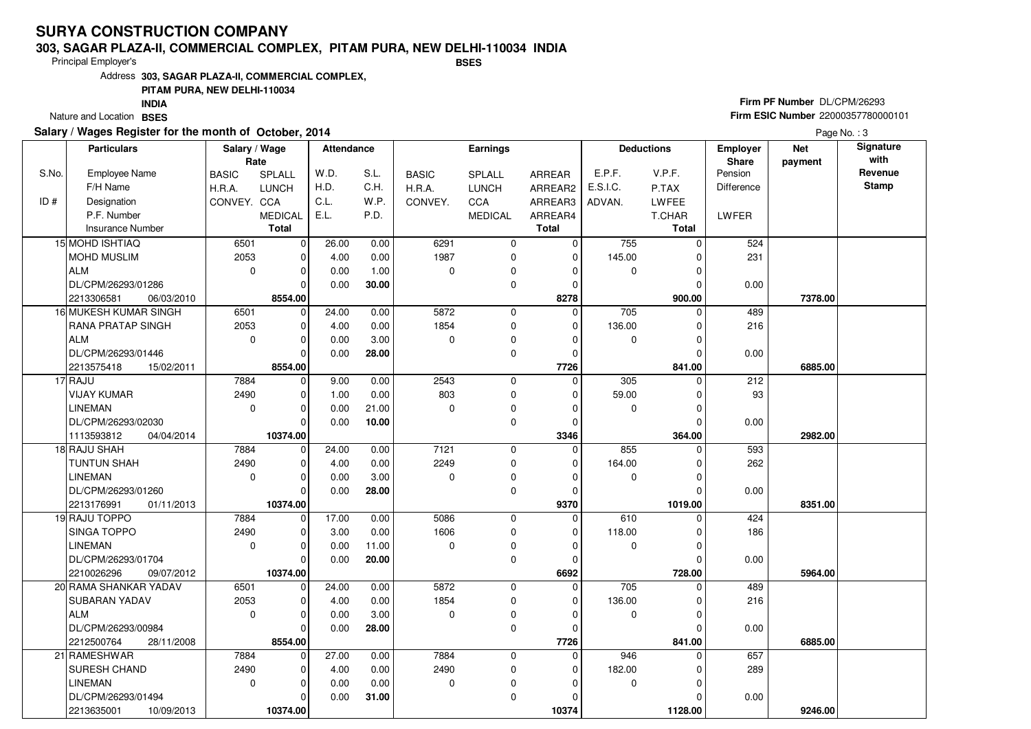#### **303, SAGAR PLAZA-II, COMMERCIAL COMPLEX, PITAM PURA, NEW DELHI-110034 INDIABSES**

Principal Employer's

Address**303, SAGAR PLAZA-II, COMMERCIAL COMPLEX,**

## **PITAM PURA, NEW DELHI-110034**

Nature and Location BSES **INDIA**

## **Salary / Wages Register for the month of October, 2014**

## **Firm PF Number** DL/CPM/26293 **Firm ESIC Number** 22000357780000101

|       | <b>Particulars</b>       | Salary / Wage |                | <b>Attendance</b> |       |              | Earnings       |                |             | <b>Deductions</b> | <b>Employer</b> | <b>Net</b> | Signature    |
|-------|--------------------------|---------------|----------------|-------------------|-------|--------------|----------------|----------------|-------------|-------------------|-----------------|------------|--------------|
|       |                          | Rate          |                |                   |       |              |                |                |             |                   | <b>Share</b>    | payment    | with         |
| S.No. | Employee Name            | <b>BASIC</b>  | <b>SPLALL</b>  | W.D.              | S.L.  | <b>BASIC</b> | <b>SPLALL</b>  | ARREAR         | E.P.F.      | V.P.F.            | Pension         |            | Revenue      |
|       | F/H Name                 | H.R.A.        | <b>LUNCH</b>   | H.D.              | C.H.  | H.R.A.       | <b>LUNCH</b>   | ARREAR2        | E.S.I.C.    | P.TAX             | Difference      |            | <b>Stamp</b> |
| ID#   | Designation              | CONVEY. CCA   |                | C.L.              | W.P.  | CONVEY.      | <b>CCA</b>     | ARREAR3        | ADVAN.      | <b>LWFEE</b>      |                 |            |              |
|       | P.F. Number              |               | <b>MEDICAL</b> | E.L.              | P.D.  |              | <b>MEDICAL</b> | ARREAR4        |             | T.CHAR            | LWFER           |            |              |
|       | <b>Insurance Number</b>  |               | <b>Total</b>   |                   |       |              |                | <b>Total</b>   |             | <b>Total</b>      |                 |            |              |
|       | 15 MOHD ISHTIAQ          | 6501          | $\overline{0}$ | 26.00             | 0.00  | 6291         | 0              | 0              | 755         | $\Omega$          | 524             |            |              |
|       | <b>MOHD MUSLIM</b>       | 2053          | 0              | 4.00              | 0.00  | 1987         | 0              | $\mathbf 0$    | 145.00      | 0                 | 231             |            |              |
|       | <b>ALM</b>               | $\mathbf 0$   | $\Omega$       | 0.00              | 1.00  | $\Omega$     | 0              | O              | 0           | $\Omega$          |                 |            |              |
|       | DL/CPM/26293/01286       |               | $\Omega$       | 0.00              | 30.00 |              | 0              | $\Omega$       |             | $\mathcal{C}$     | 0.00            |            |              |
|       | 2213306581<br>06/03/2010 |               | 8554.00        |                   |       |              |                | 8278           |             | 900.00            |                 | 7378.00    |              |
|       | 16 MUKESH KUMAR SINGH    | 6501          | 0              | 24.00             | 0.00  | 5872         | 0              | $\Omega$       | 705         | $\Omega$          | 489             |            |              |
|       | <b>RANA PRATAP SINGH</b> | 2053          | $\Omega$       | 4.00              | 0.00  | 1854         | $\mathbf 0$    | $\mathbf{0}$   | 136.00      | C                 | 216             |            |              |
|       | <b>ALM</b>               | 0             | $\Omega$       | 0.00              | 3.00  | $\Omega$     | 0              | O              | 0           |                   |                 |            |              |
|       | DL/CPM/26293/01446       |               | $\Omega$       | 0.00              | 28.00 |              | $\mathbf 0$    | $\Omega$       |             | $\Omega$          | 0.00            |            |              |
|       | 2213575418<br>15/02/2011 |               | 8554.00        |                   |       |              |                | 7726           |             | 841.00            |                 | 6885.00    |              |
|       | 17 RAJU                  | 7884          | $\mathbf 0$    | 9.00              | 0.00  | 2543         | 0              | $\mathbf 0$    | 305         | $\Omega$          | 212             |            |              |
|       | <b>VIJAY KUMAR</b>       | 2490          | 0              | 1.00              | 0.00  | 803          | $\mathbf 0$    | $\Omega$       | 59.00       | C                 | 93              |            |              |
|       | <b>LINEMAN</b>           | 0             | $\Omega$       | 0.00              | 21.00 | $\Omega$     | 0              | $\Omega$       | 0           | $\Omega$          |                 |            |              |
|       | DL/CPM/26293/02030       |               | $\Omega$       | 0.00              | 10.00 |              | $\mathbf 0$    | $\Omega$       |             | $\mathcal{C}$     | 0.00            |            |              |
|       | 1113593812<br>04/04/2014 |               | 10374.00       |                   |       |              |                | 3346           |             | 364.00            |                 | 2982.00    |              |
|       | 18 RAJU SHAH             | 7884          | $\mathbf 0$    | 24.00             | 0.00  | 7121         | $\mathbf 0$    | $\Omega$       | 855         | $\Omega$          | 593             |            |              |
|       | TUNTUN SHAH              | 2490          | $\Omega$       | 4.00              | 0.00  | 2249         | 0              | O              | 164.00      |                   | 262             |            |              |
|       | LINEMAN                  | 0             | $\Omega$       | 0.00              | 3.00  | $\mathbf 0$  | 0              | $\Omega$       | 0           | C                 |                 |            |              |
|       | DL/CPM/26293/01260       |               | $\Omega$       | 0.00              | 28.00 |              | $\mathbf 0$    | $\Omega$       |             | $\sqrt{ }$        | 0.00            |            |              |
|       | 2213176991<br>01/11/2013 |               | 10374.00       |                   |       |              |                | 9370           |             | 1019.00           |                 | 8351.00    |              |
|       | 19 RAJU TOPPO            | 7884          | $\Omega$       | 17.00             | 0.00  | 5086         | $\mathbf 0$    | $\Omega$       | 610         |                   | 424             |            |              |
|       | SINGA TOPPO              | 2490          | U              | 3.00              | 0.00  | 1606         | 0              | $\Omega$       | 118.00      |                   | 186             |            |              |
|       | <b>LINEMAN</b>           | $\mathbf 0$   | $\Omega$       | 0.00              | 11.00 | $\Omega$     | $\mathbf 0$    | $\Omega$       | $\mathbf 0$ | $\Omega$          |                 |            |              |
|       | DL/CPM/26293/01704       |               | $\Omega$       | 0.00              | 20.00 |              | $\mathbf 0$    | $\Omega$       |             | $\sqrt{ }$        | 0.00            |            |              |
|       | 2210026296<br>09/07/2012 |               | 10374.00       |                   |       |              |                | 6692           |             | 728.00            |                 | 5964.00    |              |
|       | 20 RAMA SHANKAR YADAV    | 6501          | $\Omega$       | 24.00             | 0.00  | 5872         | $\mathbf 0$    | $\overline{0}$ | 705         | ſ                 | 489             |            |              |
|       | SUBARAN YADAV            | 2053          | $\Omega$       | 4.00              | 0.00  | 1854         | 0              | 0              | 136.00      | $\Omega$          | 216             |            |              |
|       | <b>ALM</b>               | 0             | $\Omega$       | 0.00              | 3.00  | $\Omega$     | $\mathbf 0$    | $\Omega$       | 0           |                   |                 |            |              |
|       | DL/CPM/26293/00984       |               | $\Omega$       | 0.00              | 28.00 |              | 0              | $\Omega$       |             | $\Omega$          | 0.00            |            |              |
|       | 2212500764<br>28/11/2008 |               | 8554.00        |                   |       |              |                | 7726           |             | 841.00            |                 | 6885.00    |              |
|       | 21 RAMESHWAR             | 7884          | $\Omega$       | 27.00             | 0.00  | 7884         | $\mathbf 0$    | $\Omega$       | 946         |                   | 657             |            |              |
|       | <b>SURESH CHAND</b>      | 2490          | $\Omega$       | 4.00              | 0.00  | 2490         | 0              | $\Omega$       | 182.00      |                   | 289             |            |              |
|       | LINEMAN                  | 0             | $\Omega$       | 0.00              | 0.00  | $\mathbf 0$  | $\mathbf 0$    | ŋ              | $\mathbf 0$ | $\Omega$          |                 |            |              |
|       | DL/CPM/26293/01494       |               | 0              | 0.00              | 31.00 |              | 0              | O              |             |                   | 0.00            |            |              |
|       | 2213635001<br>10/09/2013 |               | 10374.00       |                   |       |              |                | 10374          |             | 1128.00           |                 | 9246.00    |              |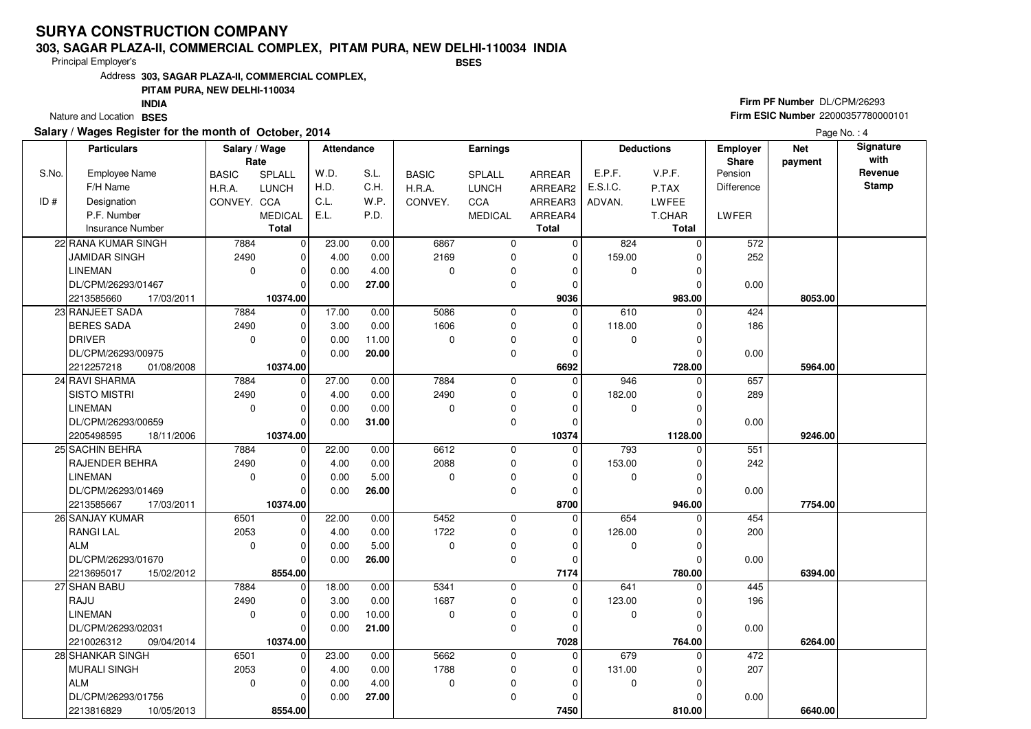#### **303, SAGAR PLAZA-II, COMMERCIAL COMPLEX, PITAM PURA, NEW DELHI-110034 INDIABSES**

Principal Employer's

Address**303, SAGAR PLAZA-II, COMMERCIAL COMPLEX,**

## **PITAM PURA, NEW DELHI-110034**

Nature and Location BSES **INDIA**

## **Salary / Wages Register for the month of October, 2014**

## **Firm PF Number** DL/CPM/26293 **Firm ESIC Number** 22000357780000101

|       | <b>Particulars</b>       | Salary / Wage<br>Rate |                | Attendance |       |              | <b>Earnings</b> |                |             | <b>Deductions</b> | Employer<br><b>Share</b> | <b>Net</b><br>payment | Signature<br>with |
|-------|--------------------------|-----------------------|----------------|------------|-------|--------------|-----------------|----------------|-------------|-------------------|--------------------------|-----------------------|-------------------|
| S.No. | <b>Employee Name</b>     | <b>BASIC</b>          | <b>SPLALL</b>  | W.D.       | S.L.  | <b>BASIC</b> | SPLALL          | ARREAR         | E.P.F.      | V.P.F.            | Pension                  |                       | Revenue           |
|       | F/H Name                 | H.R.A.                | <b>LUNCH</b>   | H.D.       | C.H.  | H.R.A.       | <b>LUNCH</b>    | ARREAR2        | E.S.I.C.    | P.TAX             | Difference               |                       | <b>Stamp</b>      |
| ID#   | Designation              | CONVEY. CCA           |                | C.L.       | W.P.  | CONVEY.      | <b>CCA</b>      | ARREAR3        | ADVAN.      | <b>LWFEE</b>      |                          |                       |                   |
|       | P.F. Number              |                       | <b>MEDICAL</b> | E.L.       | P.D.  |              | <b>MEDICAL</b>  | ARREAR4        |             | T.CHAR            | LWFER                    |                       |                   |
|       | <b>Insurance Number</b>  |                       | <b>Total</b>   |            |       |              |                 | <b>Total</b>   |             | Total             |                          |                       |                   |
|       | 22 RANA KUMAR SINGH      | 7884                  | $\overline{0}$ | 23.00      | 0.00  | 6867         | 0               | $\mathbf 0$    | 824         | $\Omega$          | 572                      |                       |                   |
|       | <b>JAMIDAR SINGH</b>     | 2490                  | 0              | 4.00       | 0.00  | 2169         | 0               | 0              | 159.00      | $\Omega$          | 252                      |                       |                   |
|       | <b>LINEMAN</b>           | $\mathbf 0$           | $\Omega$       | 0.00       | 4.00  | $\Omega$     | 0               | ∩              | 0           | $\Omega$          |                          |                       |                   |
|       | DL/CPM/26293/01467       |                       | $\Omega$       | 0.00       | 27.00 |              | 0               | $\Omega$       |             | $\Omega$          | 0.00                     |                       |                   |
|       | 17/03/2011<br>2213585660 |                       | 10374.00       |            |       |              |                 | 9036           |             | 983.00            |                          | 8053.00               |                   |
|       | 23 RANJEET SADA          | 7884                  | $\Omega$       | 17.00      | 0.00  | 5086         | 0               | $\Omega$       | 610         | $\Omega$          | 424                      |                       |                   |
|       | <b>BERES SADA</b>        | 2490                  | $\mathbf 0$    | 3.00       | 0.00  | 1606         | 0               | $\Omega$       | 118.00      | $\Omega$          | 186                      |                       |                   |
|       | <b>DRIVER</b>            | $\mathbf 0$           | $\Omega$       | 0.00       | 11.00 | $\Omega$     | 0               | $\sqrt{ }$     | $\mathbf 0$ | 0                 |                          |                       |                   |
|       | DL/CPM/26293/00975       |                       | $\Omega$       | 0.00       | 20.00 |              | 0               | $\Omega$       |             | $\Omega$          | 0.00                     |                       |                   |
|       | 2212257218<br>01/08/2008 |                       | 10374.00       |            |       |              |                 | 6692           |             | 728.00            |                          | 5964.00               |                   |
|       | 24 RAVI SHARMA           | 7884                  | $\mathbf 0$    | 27.00      | 0.00  | 7884         | 0               | $\overline{0}$ | 946         | $\Omega$          | 657                      |                       |                   |
|       | <b>SISTO MISTRI</b>      | 2490                  | $\Omega$       | 4.00       | 0.00  | 2490         | 0               | $\Omega$       | 182.00      | $\sqrt{ }$        | 289                      |                       |                   |
|       | <b>LINEMAN</b>           | $\mathbf 0$           | $\Omega$       | 0.00       | 0.00  | $\Omega$     | 0               | $\Omega$       | $\mathbf 0$ | $\Omega$          |                          |                       |                   |
|       | DL/CPM/26293/00659       |                       | $\Omega$       | 0.00       | 31.00 |              | 0               | $\mathsf{C}$   |             | $\sqrt{ }$        | 0.00                     |                       |                   |
|       | 2205498595<br>18/11/2006 |                       | 10374.00       |            |       |              |                 | 10374          |             | 1128.00           |                          | 9246.00               |                   |
|       | 25 SACHIN BEHRA          | 7884                  | 0              | 22.00      | 0.00  | 6612         | 0               | 0              | 793         | $\Omega$          | 551                      |                       |                   |
|       | RAJENDER BEHRA           | 2490                  | $\Omega$       | 4.00       | 0.00  | 2088         | 0               | $\Omega$       | 153.00      | $\Omega$          | 242                      |                       |                   |
|       | <b>LINEMAN</b>           | 0                     | $\Omega$       | 0.00       | 5.00  | $\Omega$     | 0               | $\Omega$       | 0           | $\Omega$          |                          |                       |                   |
|       | DL/CPM/26293/01469       |                       | $\Omega$       | 0.00       | 26.00 |              | 0               | $\Omega$       |             | $\sqrt{ }$        | 0.00                     |                       |                   |
|       | 2213585667<br>17/03/2011 |                       | 10374.00       |            |       |              |                 | 8700           |             | 946.00            |                          | 7754.00               |                   |
|       | 26 SANJAY KUMAR          | 6501                  | $\mathbf 0$    | 22.00      | 0.00  | 5452         | 0               | 0              | 654         | O                 | 454                      |                       |                   |
|       | <b>RANGILAL</b>          | 2053                  | $\Omega$       | 4.00       | 0.00  | 1722         | 0               | $\Omega$       | 126.00      | C                 | 200                      |                       |                   |
|       | <b>ALM</b>               | 0                     | $\Omega$       | 0.00       | 5.00  | $\Omega$     | 0               | $\Omega$       | $\mathbf 0$ | $\Omega$          |                          |                       |                   |
|       | DL/CPM/26293/01670       |                       | $\Omega$       | 0.00       | 26.00 |              | 0               | $\Omega$       |             | $\sqrt{ }$        | 0.00                     |                       |                   |
|       | 2213695017<br>15/02/2012 |                       | 8554.00        |            |       |              |                 | 7174           |             | 780.00            |                          | 6394.00               |                   |
|       | 27 SHAN BABU             | 7884                  | $\mathbf 0$    | 18.00      | 0.00  | 5341         | 0               | $\mathbf{0}$   | 641         | $\Omega$          | 445                      |                       |                   |
|       | RAJU                     | 2490                  | $\Omega$       | 3.00       | 0.00  | 1687         | 0               | $\Omega$       | 123.00      | C                 | 196                      |                       |                   |
|       | <b>LINEMAN</b>           | 0                     | 0              | 0.00       | 10.00 | $\Omega$     | 0               | $\Omega$       | 0           | 0                 |                          |                       |                   |
|       | DL/CPM/26293/02031       |                       | $\Omega$       | 0.00       | 21.00 |              | 0               | $\Omega$       |             | $\sqrt{ }$        | 0.00                     |                       |                   |
|       | 2210026312<br>09/04/2014 |                       | 10374.00       |            |       |              |                 | 7028           |             | 764.00            |                          | 6264.00               |                   |
|       | 28 SHANKAR SINGH         | 6501                  | $\mathbf 0$    | 23.00      | 0.00  | 5662         | 0               | $\mathbf 0$    | 679         | $\Omega$          | 472                      |                       |                   |
|       | <b>MURALI SINGH</b>      | 2053                  | $\Omega$       | 4.00       | 0.00  | 1788         | 0               | $\Omega$       | 131.00      | O                 | 207                      |                       |                   |
|       | <b>ALM</b>               | 0                     | 0              | 0.00       | 4.00  | 0            | 0               | $\sqrt{ }$     | 0           | O                 |                          |                       |                   |
|       | DL/CPM/26293/01756       |                       | 0              | 0.00       | 27.00 |              | 0               | $\Omega$       |             | O                 | 0.00                     |                       |                   |
|       | 2213816829<br>10/05/2013 |                       | 8554.00        |            |       |              |                 | 7450           |             | 810.00            |                          | 6640.00               |                   |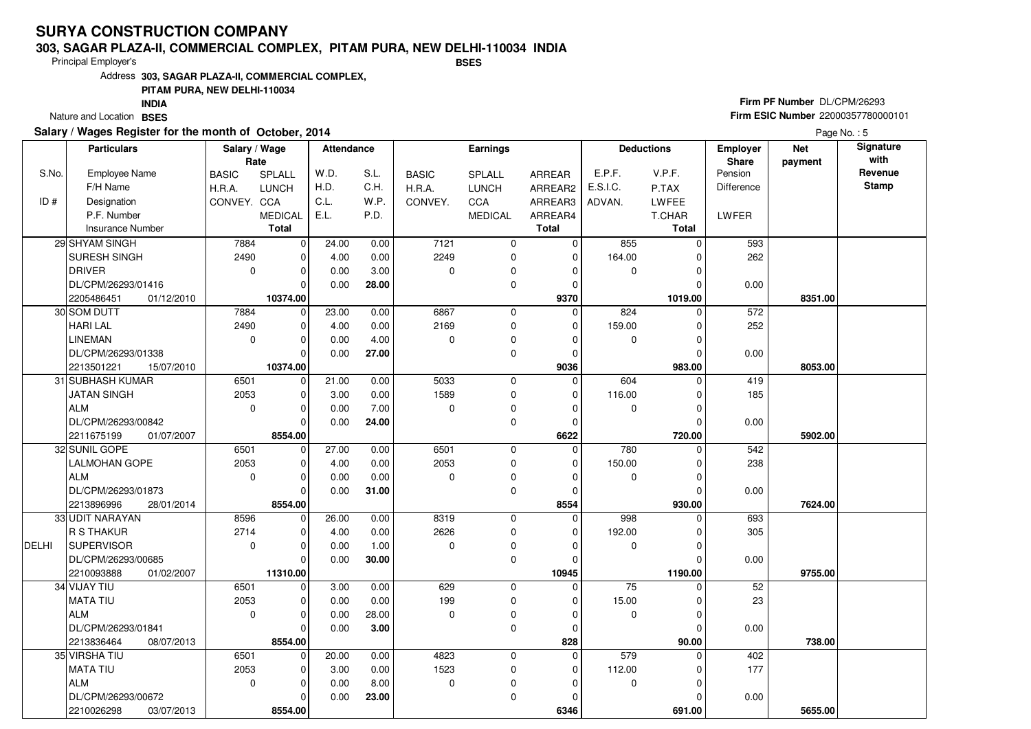#### **303, SAGAR PLAZA-II, COMMERCIAL COMPLEX, PITAM PURA, NEW DELHI-110034 INDIABSES**

Principal Employer's

Address**303, SAGAR PLAZA-II, COMMERCIAL COMPLEX,**

## **PITAM PURA, NEW DELHI-110034**

Nature and Location BSES **INDIA**

## **Salary / Wages Register for the month of October, 2014**

# **Firm PF Number** DL/CPM/26293 **Firm ESIC Number** 22000357780000101

|              | <b>Particulars</b>       | Salary / Wage |                | <b>Attendance</b> |       |              | <b>Earnings</b> |               |             | <b>Deductions</b> | <b>Net</b><br><b>Employer</b> |         | Signature       |
|--------------|--------------------------|---------------|----------------|-------------------|-------|--------------|-----------------|---------------|-------------|-------------------|-------------------------------|---------|-----------------|
|              |                          |               | Rate           |                   |       |              |                 |               |             |                   | Share                         | payment | with<br>Revenue |
| S.No.        | <b>Employee Name</b>     | <b>BASIC</b>  | SPLALL         | W.D.              | S.L.  | <b>BASIC</b> | SPLALL          | <b>ARREAR</b> | E.P.F.      | V.P.F.            | Pension                       |         | <b>Stamp</b>    |
|              | F/H Name                 | H.R.A.        | <b>LUNCH</b>   | H.D.              | C.H.  | H.R.A.       | <b>LUNCH</b>    | ARREAR2       | E.S.I.C.    | P.TAX             | Difference                    |         |                 |
| ID#          | Designation              | CONVEY. CCA   |                | C.L.              | W.P.  | CONVEY.      | CCA             | ARREAR3       | ADVAN.      | LWFEE             |                               |         |                 |
|              | P.F. Number              |               | <b>MEDICAL</b> | E.L.              | P.D.  |              | <b>MEDICAL</b>  | ARREAR4       |             | T.CHAR            | LWFER                         |         |                 |
|              | <b>Insurance Number</b>  |               | <b>Total</b>   |                   |       |              |                 | <b>Total</b>  |             | Total             |                               |         |                 |
|              | 29 SHYAM SINGH           | 7884          | $\mathbf 0$    | 24.00             | 0.00  | 7121         | $\mathbf 0$     | 0             | 855         | 0                 | 593                           |         |                 |
|              | SURESH SINGH             | 2490          | $\mathbf 0$    | 4.00              | 0.00  | 2249         | $\mathbf 0$     | $\mathbf 0$   | 164.00      | 0                 | 262                           |         |                 |
|              | <b>DRIVER</b>            | $\mathbf 0$   | $\mathbf 0$    | 0.00              | 3.00  | $\mathbf 0$  | $\mathbf 0$     | $\Omega$      | $\mathbf 0$ | 0                 |                               |         |                 |
|              | DL/CPM/26293/01416       |               | $\Omega$       | 0.00              | 28.00 |              | $\mathbf 0$     | $\Omega$      |             | $\Omega$          | 0.00                          |         |                 |
|              | 2205486451<br>01/12/2010 |               | 10374.00       |                   |       |              |                 | 9370          |             | 1019.00           |                               | 8351.00 |                 |
|              | 30 SOM DUTT              | 7884          | $\Omega$       | 23.00             | 0.00  | 6867         | $\mathbf 0$     | $\Omega$      | 824         | 0                 | 572                           |         |                 |
|              | <b>HARI LAL</b>          | 2490          | 0              | 4.00              | 0.00  | 2169         | $\mathbf 0$     | 0             | 159.00      | 0                 | 252                           |         |                 |
|              | <b>LINEMAN</b>           | $\mathbf 0$   | $\mathbf 0$    | 0.00              | 4.00  | $\mathbf 0$  | $\mathbf 0$     | $\Omega$      | $\mathbf 0$ | 0                 |                               |         |                 |
|              | DL/CPM/26293/01338       |               | $\Omega$       | 0.00              | 27.00 |              | $\mathbf 0$     | $\Omega$      |             | $\Omega$          | 0.00                          |         |                 |
|              | 2213501221<br>15/07/2010 |               | 10374.00       |                   |       |              |                 | 9036          |             | 983.00            |                               | 8053.00 |                 |
|              | 31 SUBHASH KUMAR         | 6501          | $\mathbf 0$    | 21.00             | 0.00  | 5033         | $\mathbf 0$     | $\Omega$      | 604         | 0                 | 419                           |         |                 |
|              | <b>JATAN SINGH</b>       | 2053          | $\mathbf 0$    | 3.00              | 0.00  | 1589         | $\mathbf 0$     | $\Omega$      | 116.00      | 0                 | 185                           |         |                 |
|              | <b>ALM</b>               | $\mathbf 0$   | $\Omega$       | 0.00              | 7.00  | $\mathbf 0$  | $\mathbf 0$     | $\Omega$      | $\mathbf 0$ | 0                 |                               |         |                 |
|              | DL/CPM/26293/00842       |               | $\Omega$       | 0.00              | 24.00 |              | $\mathbf 0$     | $\Omega$      |             | $\Omega$          | 0.00                          |         |                 |
|              | 2211675199<br>01/07/2007 |               | 8554.00        |                   |       |              |                 | 6622          |             | 720.00            |                               | 5902.00 |                 |
|              | 32 SUNIL GOPE            | 6501          | $\mathbf 0$    | 27.00             | 0.00  | 6501         | $\mathbf 0$     | $\Omega$      | 780         | $\mathbf 0$       | 542                           |         |                 |
|              | LALMOHAN GOPE            | 2053          | $\mathbf 0$    | 4.00              | 0.00  | 2053         | $\mathbf 0$     | $\Omega$      | 150.00      | 0                 | 238                           |         |                 |
|              | <b>ALM</b>               | $\mathbf 0$   | $\mathbf 0$    | 0.00              | 0.00  | $\mathbf 0$  | $\mathbf 0$     | $\Omega$      | 0           | 0                 |                               |         |                 |
|              | DL/CPM/26293/01873       |               | $\Omega$       | 0.00              | 31.00 |              | $\mathbf{0}$    | $\Omega$      |             | $\Omega$          | 0.00                          |         |                 |
|              | 2213896996<br>28/01/2014 |               | 8554.00        |                   |       |              |                 | 8554          |             | 930.00            |                               | 7624.00 |                 |
|              | 33 UDIT NARAYAN          | 8596          | $\mathbf 0$    | 26.00             | 0.00  | 8319         | $\mathbf 0$     | $\Omega$      | 998         | 0                 | 693                           |         |                 |
|              | R S THAKUR               | 2714          | $\mathbf 0$    | 4.00              | 0.00  | 2626         | $\mathbf{0}$    | $\Omega$      | 192.00      | 0                 | 305                           |         |                 |
| <b>DELHI</b> | SUPERVISOR               | $\mathbf 0$   | $\mathbf 0$    | 0.00              | 1.00  | $\mathbf 0$  | $\mathbf 0$     | $\Omega$      | $\mathbf 0$ | 0                 |                               |         |                 |
|              | DL/CPM/26293/00685       |               | $\Omega$       | 0.00              | 30.00 |              | $\mathbf{0}$    | $\Omega$      |             | $\Omega$          | 0.00                          |         |                 |
|              | 2210093888<br>01/02/2007 |               | 11310.00       |                   |       |              |                 | 10945         |             | 1190.00           |                               | 9755.00 |                 |
|              | 34 VIJAY TIU             | 6501          | $\mathbf 0$    | 3.00              | 0.00  | 629          | $\pmb{0}$       | $\Omega$      | 75          | $\mathbf 0$       | 52                            |         |                 |
|              | MATA TIU                 | 2053          | $\mathbf 0$    | 0.00              | 0.00  | 199          | $\mathbf 0$     | $\Omega$      | 15.00       | 0                 | 23                            |         |                 |
|              | <b>ALM</b>               | $\mathbf 0$   | $\mathbf 0$    | 0.00              | 28.00 | $\mathbf 0$  | $\mathbf 0$     | $\Omega$      | $\mathbf 0$ | 0                 |                               |         |                 |
|              | DL/CPM/26293/01841       |               | $\Omega$       | 0.00              | 3.00  |              | $\Omega$        | $\Omega$      |             | $\Omega$          | 0.00                          |         |                 |
|              | 2213836464<br>08/07/2013 |               | 8554.00        |                   |       |              |                 | 828           |             | 90.00             |                               | 738.00  |                 |
|              | 35 VIRSHA TIU            | 6501          | $\mathbf 0$    | 20.00             | 0.00  | 4823         | $\mathbf 0$     | $\mathbf 0$   | 579         | 0                 | 402                           |         |                 |
|              | <b>MATA TIU</b>          | 2053          | 0              | 3.00              | 0.00  | 1523         | $\mathbf 0$     | $\Omega$      | 112.00      | 0                 | 177                           |         |                 |
|              | <b>ALM</b>               | $\mathbf 0$   | $\mathbf 0$    | 0.00              | 8.00  | $\pmb{0}$    | $\mathbf 0$     | $\Omega$      | $\mathbf 0$ | $\Omega$          |                               |         |                 |
|              | DL/CPM/26293/00672       |               | $\Omega$       | 0.00              | 23.00 |              | $\Omega$        | $\Omega$      |             | $\Omega$          | 0.00                          |         |                 |
|              | 2210026298<br>03/07/2013 |               | 8554.00        |                   |       |              |                 | 6346          |             | 691.00            |                               | 5655.00 |                 |
|              |                          |               |                |                   |       |              |                 |               |             |                   |                               |         |                 |